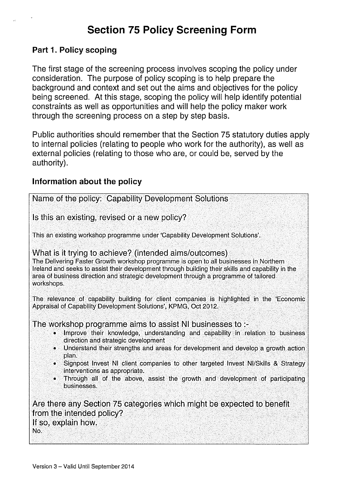# Section 75 Policy Screening Form

#### Part 1. Policy scoping

The first stage of the screening process involves scoping the policy under consideration. The purpose of policy scoping is to help prepare the background and context and set out the aims and objectives for the policy being screened. At this stage, scoping the policy will help identify potential constraints as well as opportunities and will help the policy maker work through the screening process on a step by step basis.

Public authorities should remember that the Section 75 statutory duties apply to internal policies (relating to people who work for the authority), as well as external policies (relating to those who are, or could be, served by the authority).

#### Information about the policy

| Name of the policy: Capability Development Solutions                                                                                                                                                                                                                                                                                                                                                                                                                                                           |  |  |  |
|----------------------------------------------------------------------------------------------------------------------------------------------------------------------------------------------------------------------------------------------------------------------------------------------------------------------------------------------------------------------------------------------------------------------------------------------------------------------------------------------------------------|--|--|--|
| Is this an existing, revised or a new policy?                                                                                                                                                                                                                                                                                                                                                                                                                                                                  |  |  |  |
| This an existing workshop programme under 'Capability Development Solutions'.                                                                                                                                                                                                                                                                                                                                                                                                                                  |  |  |  |
| What is it trying to achieve? (intended aims/outcomes)<br>The Delivering Faster Growth workshop programme is open to all businesses in Northern<br>Ireland and seeks to assist their development through building their skills and capability in the<br>area of business direction and strategic development through a programme of tailored<br>workshops.                                                                                                                                                     |  |  |  |
| The relevance of capability building for client companies is highlighted in the 'Economic<br>Appraisal of Capability Development Solutions', KPMG, Oct 2012.                                                                                                                                                                                                                                                                                                                                                   |  |  |  |
| The workshop programme aims to assist NI businesses to :-<br>Improve their knowledge, understanding and capability in relation to business<br>۰<br>direction and strategic development<br>• Understand their strengths and areas for development and develop a growth action<br>plan.<br>. Signpost Invest NI client companies to other targeted Invest NI/Skills & Strategy<br>interventions as appropriate.<br>• Through all of the above, assist the growth and development of participating<br>businesses. |  |  |  |
| Are there any Section 75 categories which might be expected to benefit<br>from the intended policy?<br>If so, explain how.<br>No.                                                                                                                                                                                                                                                                                                                                                                              |  |  |  |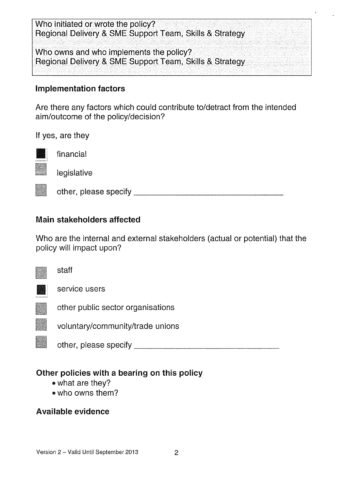Who initiated or wrote the policy? Regional Delivery & SME Support Team, Skills & Strategy

Who owns and who implements the policy? Regional Delivery & SME Support Team, Skills & Strategy

#### Implementation factors

Are there any factors which could contribute to/detract from the intended aim/outcome of the policy/decision?

If yes, are they



financial

legislative

other, please specify

## Main stakeholders affected

Who are the internal and external stakeholders (actual or potential) that the policy will impact upon?



staff



service users

other public sector organisations



voluntary/community/trade unions

other, please specify

## Other policies with a bearing on this policy

- what are they?
- who owns them?

### Available evidence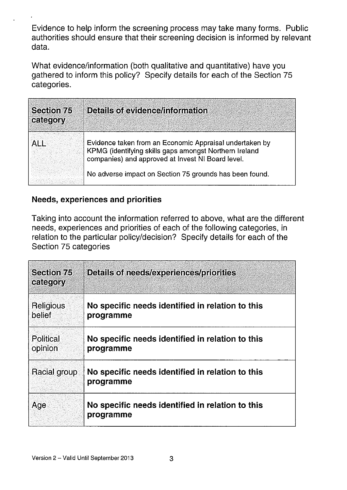Evidence to help inform the screening process may take many forms. Public authorities should ensure that their screening decision is informed by relevant data.

What evidence/information (both qualitative and quantitative) have you gathered to inform this policy? Specify details for each of the Section 75 categories.

| <b>Section 75</b><br>category                           | Details of evidence/information                                                                                                                                        |  |
|---------------------------------------------------------|------------------------------------------------------------------------------------------------------------------------------------------------------------------------|--|
| AI                                                      | Evidence taken from an Economic Appraisal undertaken by<br>KPMG (identifying skills gaps amongst Northern Ireland<br>companies) and approved at Invest NI Board level. |  |
| No adverse impact on Section 75 grounds has been found. |                                                                                                                                                                        |  |

## Needs, experiences and priorities

Taking into account the information referred to above, what are the different needs, experiences and priorities of each of the following categories, in relation to the particular policy/decision? Specify details for each of the Section 75 categories

| Section 75<br>category      | <b>Details of needs/experiences/priorities</b>                |  |
|-----------------------------|---------------------------------------------------------------|--|
| <b>Religious</b><br>belief  | No specific needs identified in relation to this<br>programme |  |
| <b>Political</b><br>opinion | No specific needs identified in relation to this<br>programme |  |
| Racial group                | No specific needs identified in relation to this<br>programme |  |
| Age                         | No specific needs identified in relation to this<br>programme |  |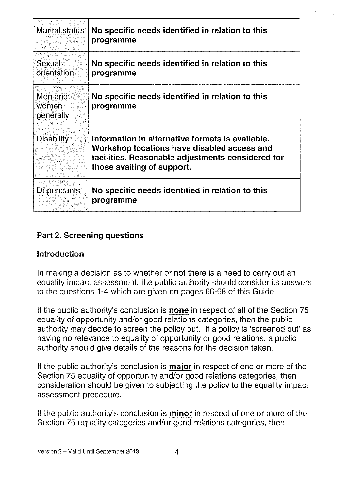| Marital status                | No specific needs identified in relation to this<br>programme                                                                                                                      |  |
|-------------------------------|------------------------------------------------------------------------------------------------------------------------------------------------------------------------------------|--|
| Sexual<br>orientation         | No specific needs identified in relation to this<br>programme                                                                                                                      |  |
| Men and<br>women<br>generally | No specific needs identified in relation to this<br>programme                                                                                                                      |  |
| <b>Disability</b>             | Information in alternative formats is available.<br>Workshop locations have disabled access and<br>facilities. Reasonable adjustments considered for<br>those availing of support. |  |
| Dependants                    | No specific needs identified in relation to this<br>programme                                                                                                                      |  |

### Part 2. Screening questions

#### Introduction

In making a decision as to whether or not there is a need to carry out an equality impact assessment, the public authority should consider its answers to the questions 1-4 which are given on pages 66-68 of this Guide.

If the public authority's conclusion is none in respect of all of the Section 75 equality of opportunity and/or good relations categories, then the public authority may decide to screen the policy out. If a policy is 'screened out' as having no relevance to equality of opportunity or good relations, a public authority should give details of the reasons for the decision taken.

If the public authority's conclusion is **major** in respect of one or more of the Section 75 equality of opportunity and/or good relations categories, then consideration should be given to subjecting the policy to the equality impact assessment procedure.

If the public authority's conclusion is minor in respect of one or more of the Section 75 equality categories and/or good relations categories, then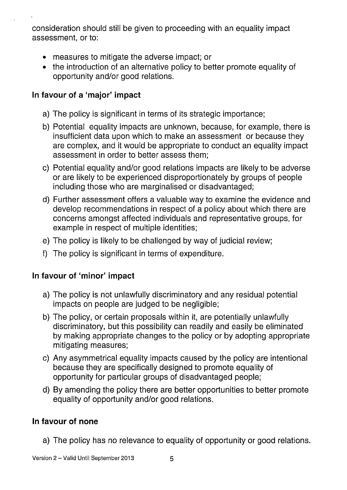consideration should still be given to proceeding with an equality impact assessment, or to:

- measures to mitigate the adverse impact; or
- the introduction of an alternative policy to better promote equality of opportunity and/or good relations.

## In favour of a 'major' impact

- a) The policy is significant in terms of its strategic importance;
- b) Potential equality impacts are unknown, because, for example, there is insufficient data upon which to make an assessment or because they are complex, and it would be appropriate to conduct an equality impact assessment in order to better assess them;
- c) Potential equality and/or good relations impacts are likely to be adverse or are likely to be experienced disproportionately by groups of people including those who are marginalised or disadvantaged;
- d) Further assessment offers a valuable way to examine the evidence and develop recommendations in respect of a policy about which there are concerns amongst affected individuals and representative groups, for example in respect of multiple identities;
- e) The policy is likely to be challenged by way of judicial review;
- f) The policy is significant in terms of expenditure.

### In favour of 'minor' impact

- a) The policy is not unlawfully discriminatory and any residual potential impacts on people are judged to be negligible;
- b) The policy, or certain proposals within it, are potentially unlawfully discriminatory, but this possibility can readily and easily be eliminated by making appropriate changes to the policy or by adopting appropriate mitigating measures;
- c) Any asymmetrical equality impacts caused by the policy are intentional because they are specifically designed to promote equality of opportunity for particular groups of disadvantaged people;
- d) By amending the policy there are better opportunities to better promote equality of opportunity and/or good relations.

### In favour of none

a) The policy has no relevance to equality of opportunity or good relations.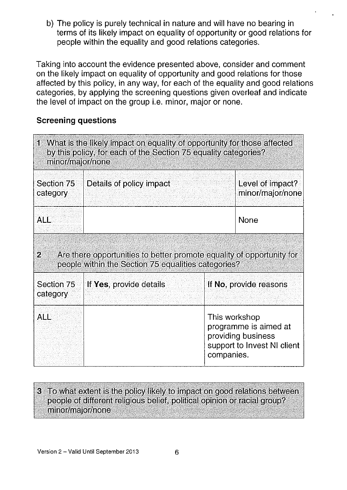b) The policy is purely technical in nature and will have no bearing in terms of its likely impact on equality of opportunity or good relations for people within the equality and good relations categories.

Taking into account the evidence presented above, consider and comment on the likely impact on equality of opportunity and good relations for those affected by this policy, in any way, for each of the equality and good relations categories, by applying the screening questions given overleaf and indicate the level of impact on the group i.e. minor, major or none.

#### Screening questions

| 1 What is the likely impact on equality of opportunity for those affected<br>by this policy, for each of the Section 75 equality categories?<br>minor/major/none |                          |                                                                                                           |  |
|------------------------------------------------------------------------------------------------------------------------------------------------------------------|--------------------------|-----------------------------------------------------------------------------------------------------------|--|
| Section 75<br>category                                                                                                                                           | Details of policy impact | Level of impact?<br>minor/major/none                                                                      |  |
| <b>ALL</b>                                                                                                                                                       | <b>None</b>              |                                                                                                           |  |
| Are there opportunities to better promote equality of opportunity for<br>$\bf{2}$<br>people within the Section 75 equalities categories?                         |                          |                                                                                                           |  |
| Section 75<br>category                                                                                                                                           | If Yes, provide details  | If No, provide reasons                                                                                    |  |
| ALL.                                                                                                                                                             |                          | This workshop<br>programme is aimed at<br>providing business<br>support to Invest NI client<br>companies. |  |

#### 3 To what extent is the policy likely to impact on good relations between people of different religious belief, political opinion or racial group? minor/major/none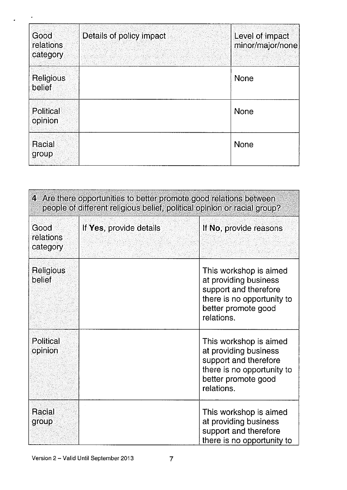| Good<br>relations<br>category | Details of policy impact | Level of impact<br>minor/major/none |
|-------------------------------|--------------------------|-------------------------------------|
| <b>Religious</b><br>belief    |                          | <b>None</b>                         |
| Political<br>opinion          |                          | <b>None</b>                         |
| Racial<br>group               |                          | <b>None</b>                         |

| 4 Are there opportunities to better promote good relations between<br>people of different religious belief, political opinion or racial group? |                         |                                                                                                                                             |
|------------------------------------------------------------------------------------------------------------------------------------------------|-------------------------|---------------------------------------------------------------------------------------------------------------------------------------------|
| Good<br>relations<br>category                                                                                                                  | If Yes, provide details | If No, provide reasons                                                                                                                      |
| Religious<br>belief                                                                                                                            |                         | This workshop is aimed<br>at providing business<br>support and therefore<br>there is no opportunity to<br>better promote good<br>relations. |
| <b>Political</b><br>opinion                                                                                                                    |                         | This workshop is aimed<br>at providing business<br>support and therefore<br>there is no opportunity to<br>better promote good<br>relations. |
| Racial<br>group                                                                                                                                |                         | This workshop is aimed<br>at providing business<br>support and therefore<br>there is no opportunity to                                      |

 $\omega$ 

 $\ddot{\phantom{0}}$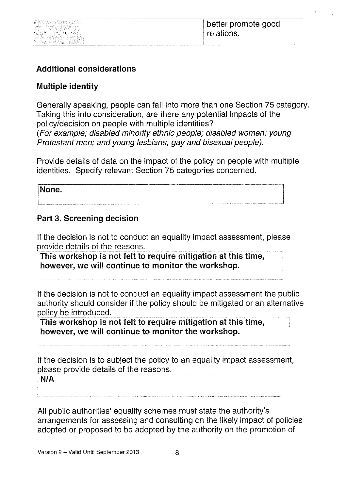| better promote good<br>relations. |  |
|-----------------------------------|--|
|                                   |  |

### Additional considerations

#### Multiple identity

Generally speaking, people can fall into more than one Section 75 category. Taking this into consideration, are there any potential impacts of the policy/decision on people with multiple identities? (For example; disabled minority ethnic people; disabled women; young Protestant men; and young lesbians, gay and bisexual people).

Provide details of data on the impact of the policy on people with multiple identities. Specify relevant Section 75 categories concerned.

EEEEEEEE:EEEEzEE:EEizE

#### Part 3. Screening decision

If the decision is not to conduct an equality impact assessment, please provide details of the reasons.

This workshop is not felt to require mitigation at this time, however, we will continue to monitor the workshop.

If the decision is not to conduct an equality impact assessment the public authority should consider if the policy should be mitigated or an alternative policy be introduced.

This workshop is not felt to require mitigation at this time, however, we will continue to monitor the workshop.

If the decision is to subject the policy to an equality impact assessment, please provide details of the reasons.

N/A

All public authorities' equality schemes must state the authority's arrangements for assessing and consulting on the likely impact of policies adopted or proposed to be adopted by the authority on the promotion of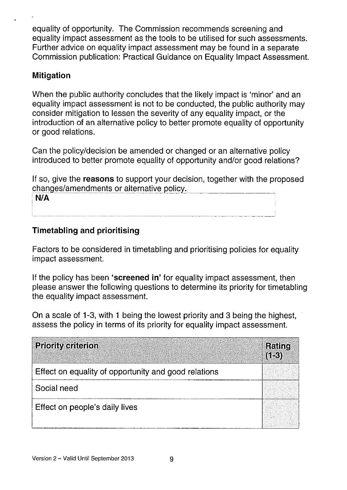equality of opportunity. The Commission recommends screening and equality impact assessment as the tools to be utilised for such assessments. Further advice on equality impact assessment may be found in a separate Commission publication: Practical Guidance on Equality Impact Assessment.

### Mitigation

When the public authority concludes that the likely impact is 'minor' and an equality impact assessment is not to be conducted, the public authority may consider mitigation to lessen the severity of any equality impact, or the introduction of an alternative policy to better promote equality of opportunity or good relations.

Can the policy/decision be amended or changed or an alternative policy introduced to better promote equality of opportunity and/or good relations?

If so, give the reasons to support your decision, together with the proposed changes/amendments or alternative policy.

N/A

## Timetabling and prioritising

Factors to be considered in timetabling and prioritising policies for equality impact assessment.

If the policy has been 'screened in' for equality impact assessment, then please answer the following questions to determine its priority for timetabling the equality impact assessment.

On a scale of 1-3, with <sup>1</sup> being the lowest priority and 3 being the highest, assess the policy in terms of its priority for equality impact assessment.

| <b>Priority criterion</b>                            | <b>Rating</b><br>$(1-3)$ |
|------------------------------------------------------|--------------------------|
| Effect on equality of opportunity and good relations |                          |
| Social need                                          |                          |
| Effect on people's daily lives                       |                          |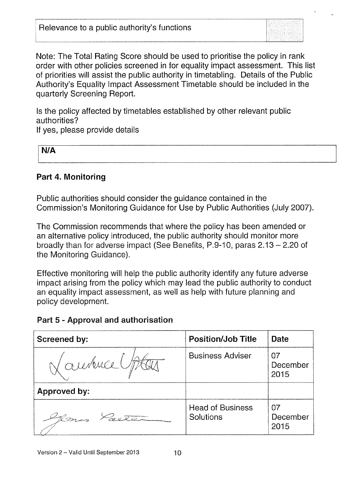Relevance to a public authority's functions

Note: The Total Rating Score should be used to prioritise the policy in rank order with other policies screened in for equality impact assessment. This list of priorities will assist the public authority in timetabling. Details of the Public Authority's Equality Impact Assessment Timetable should be included in the quarterly Screening Report.

Is the policy affected by timetables established by other relevant public authorities?

If yes, please provide details

| <b>N/A</b> |
|------------|
|            |
|            |
|            |

#### Part 4. Monitoring

Public authorities should consider the guidance contained in the Commission's Monitoring Guidance for Use by Public Authorities (July 2007).

The Commission recommends that where the policy has been amended or an alternative policy introduced, the public authority should monitor more broadly than for adverse impact (See Benefits, P.9-10, paras  $2.13 - 2.20$  of the Monitoring Guidance).

Effective monitoring will help the public authority identify any future adverse impact arising from the policy which may lead the public authority to conduct an equality impact assessment, as well as help with future planning and policy development.

#### Part 5 - Approval and authorisation

| Screened by:        | <b>Position/Job Title</b>            | <b>Date</b>            |
|---------------------|--------------------------------------|------------------------|
| aubuce              | <b>Business Adviser</b>              | O7<br>December<br>2015 |
| <b>Approved by:</b> |                                      |                        |
| I D-S-              | <b>Head of Business</b><br>Solutions | 07<br>December<br>2015 |